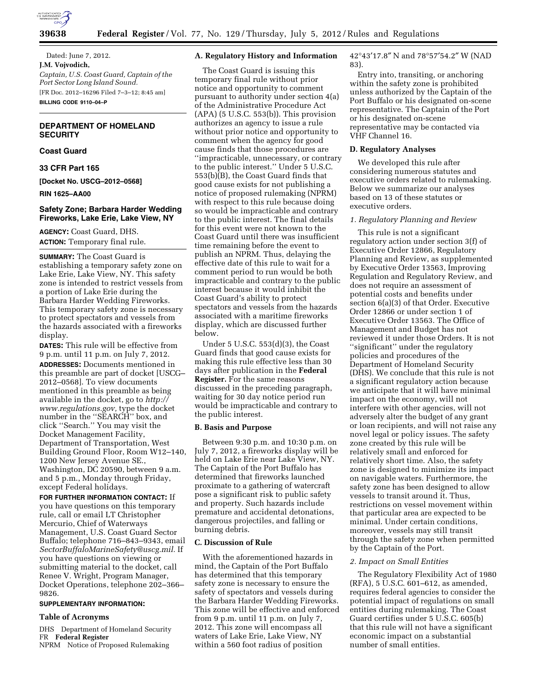

Dated: June 7, 2012. **J.M. Vojvodich,**  *Captain, U.S. Coast Guard, Captain of the Port Sector Long Island Sound.*  [FR Doc. 2012–16296 Filed 7–3–12; 8:45 am] **BILLING CODE 9110–04–P** 

# **DEPARTMENT OF HOMELAND SECURITY**

# **Coast Guard**

**33 CFR Part 165** 

**[Docket No. USCG–2012–0568]** 

**RIN 1625–AA00** 

# **Safety Zone; Barbara Harder Wedding Fireworks, Lake Erie, Lake View, NY**

**AGENCY:** Coast Guard, DHS. **ACTION:** Temporary final rule.

**SUMMARY:** The Coast Guard is establishing a temporary safety zone on Lake Erie, Lake View, NY. This safety zone is intended to restrict vessels from a portion of Lake Erie during the Barbara Harder Wedding Fireworks. This temporary safety zone is necessary to protect spectators and vessels from the hazards associated with a fireworks display.

**DATES:** This rule will be effective from 9 p.m. until 11 p.m. on July 7, 2012. **ADDRESSES:** Documents mentioned in this preamble are part of docket [USCG– 2012–0568]. To view documents mentioned in this preamble as being available in the docket, go to *[http://](http://www.regulations.gov) [www.regulations.gov,](http://www.regulations.gov)* type the docket number in the ''SEARCH'' box, and click ''Search.'' You may visit the Docket Management Facility, Department of Transportation, West Building Ground Floor, Room W12–140, 1200 New Jersey Avenue SE., Washington, DC 20590, between 9 a.m. and 5 p.m., Monday through Friday, except Federal holidays.

**FOR FURTHER INFORMATION CONTACT:** If you have questions on this temporary rule, call or email LT Christopher Mercurio, Chief of Waterways Management, U.S. Coast Guard Sector Buffalo; telephone 716–843–9343, email *[SectorBuffaloMarineSafety@uscg.mil.](mailto:SectorBuffaloMarineSafety@uscg.mil)* If you have questions on viewing or submitting material to the docket, call Renee V. Wright, Program Manager, Docket Operations, telephone 202–366– 9826.

# **SUPPLEMENTARY INFORMATION:**

## **Table of Acronyms**

DHS Department of Homeland Security FR **Federal Register** 

NPRM Notice of Proposed Rulemaking

## **A. Regulatory History and Information**

The Coast Guard is issuing this temporary final rule without prior notice and opportunity to comment pursuant to authority under section 4(a) of the Administrative Procedure Act (APA) (5 U.S.C. 553(b)). This provision authorizes an agency to issue a rule without prior notice and opportunity to comment when the agency for good cause finds that those procedures are ''impracticable, unnecessary, or contrary to the public interest.'' Under 5 U.S.C. 553(b)(B), the Coast Guard finds that good cause exists for not publishing a notice of proposed rulemaking (NPRM) with respect to this rule because doing so would be impracticable and contrary to the public interest. The final details for this event were not known to the Coast Guard until there was insufficient time remaining before the event to publish an NPRM. Thus, delaying the effective date of this rule to wait for a comment period to run would be both impracticable and contrary to the public interest because it would inhibit the Coast Guard's ability to protect spectators and vessels from the hazards associated with a maritime fireworks display, which are discussed further below.

Under 5 U.S.C. 553(d)(3), the Coast Guard finds that good cause exists for making this rule effective less than 30 days after publication in the **Federal Register.** For the same reasons discussed in the preceding paragraph, waiting for 30 day notice period run would be impracticable and contrary to the public interest.

# **B. Basis and Purpose**

Between 9:30 p.m. and 10:30 p.m. on July 7, 2012, a fireworks display will be held on Lake Erie near Lake View, NY. The Captain of the Port Buffalo has determined that fireworks launched proximate to a gathering of watercraft pose a significant risk to public safety and property. Such hazards include premature and accidental detonations, dangerous projectiles, and falling or burning debris.

### **C. Discussion of Rule**

With the aforementioned hazards in mind, the Captain of the Port Buffalo has determined that this temporary safety zone is necessary to ensure the safety of spectators and vessels during the Barbara Harder Wedding Fireworks. This zone will be effective and enforced from 9 p.m. until 11 p.m. on July 7, 2012. This zone will encompass all waters of Lake Erie, Lake View, NY within a 560 foot radius of position

42°43′17.8″ N and 78°57′54.2″ W (NAD 83).

Entry into, transiting, or anchoring within the safety zone is prohibited unless authorized by the Captain of the Port Buffalo or his designated on-scene representative. The Captain of the Port or his designated on-scene representative may be contacted via VHF Channel 16.

#### **D. Regulatory Analyses**

We developed this rule after considering numerous statutes and executive orders related to rulemaking. Below we summarize our analyses based on 13 of these statutes or executive orders.

## *1. Regulatory Planning and Review*

This rule is not a significant regulatory action under section 3(f) of Executive Order 12866, Regulatory Planning and Review, as supplemented by Executive Order 13563, Improving Regulation and Regulatory Review, and does not require an assessment of potential costs and benefits under section 6(a)(3) of that Order. Executive Order 12866 or under section 1 of Executive Order 13563. The Office of Management and Budget has not reviewed it under those Orders. It is not ''significant'' under the regulatory policies and procedures of the Department of Homeland Security (DHS). We conclude that this rule is not a significant regulatory action because we anticipate that it will have minimal impact on the economy, will not interfere with other agencies, will not adversely alter the budget of any grant or loan recipients, and will not raise any novel legal or policy issues. The safety zone created by this rule will be relatively small and enforced for relatively short time. Also, the safety zone is designed to minimize its impact on navigable waters. Furthermore, the safety zone has been designed to allow vessels to transit around it. Thus, restrictions on vessel movement within that particular area are expected to be minimal. Under certain conditions, moreover, vessels may still transit through the safety zone when permitted by the Captain of the Port.

#### *2. Impact on Small Entities*

The Regulatory Flexibility Act of 1980 (RFA), 5 U.S.C. 601–612, as amended, requires federal agencies to consider the potential impact of regulations on small entities during rulemaking. The Coast Guard certifies under 5 U.S.C. 605(b) that this rule will not have a significant economic impact on a substantial number of small entities.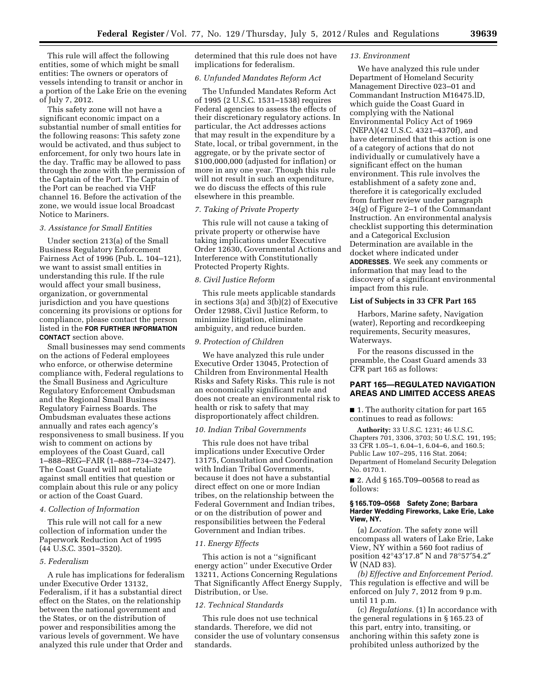This rule will affect the following entities, some of which might be small entities: The owners or operators of vessels intending to transit or anchor in a portion of the Lake Erie on the evening of July 7, 2012.

This safety zone will not have a significant economic impact on a substantial number of small entities for the following reasons: This safety zone would be activated, and thus subject to enforcement, for only two hours late in the day. Traffic may be allowed to pass through the zone with the permission of the Captain of the Port. The Captain of the Port can be reached via VHF channel 16. Before the activation of the zone, we would issue local Broadcast Notice to Mariners.

#### *3. Assistance for Small Entities*

Under section 213(a) of the Small Business Regulatory Enforcement Fairness Act of 1996 (Pub. L. 104–121), we want to assist small entities in understanding this rule. If the rule would affect your small business, organization, or governmental jurisdiction and you have questions concerning its provisions or options for compliance, please contact the person listed in the **FOR FURTHER INFORMATION CONTACT** section above.

Small businesses may send comments on the actions of Federal employees who enforce, or otherwise determine compliance with, Federal regulations to the Small Business and Agriculture Regulatory Enforcement Ombudsman and the Regional Small Business Regulatory Fairness Boards. The Ombudsman evaluates these actions annually and rates each agency's responsiveness to small business. If you wish to comment on actions by employees of the Coast Guard, call 1–888–REG–FAIR (1–888–734–3247). The Coast Guard will not retaliate against small entities that question or complain about this rule or any policy or action of the Coast Guard.

## *4. Collection of Information*

This rule will not call for a new collection of information under the Paperwork Reduction Act of 1995 (44 U.S.C. 3501–3520).

#### *5. Federalism*

A rule has implications for federalism under Executive Order 13132, Federalism, if it has a substantial direct effect on the States, on the relationship between the national government and the States, or on the distribution of power and responsibilities among the various levels of government. We have analyzed this rule under that Order and

determined that this rule does not have implications for federalism.

# *6. Unfunded Mandates Reform Act*

The Unfunded Mandates Reform Act of 1995 (2 U.S.C. 1531–1538) requires Federal agencies to assess the effects of their discretionary regulatory actions. In particular, the Act addresses actions that may result in the expenditure by a State, local, or tribal government, in the aggregate, or by the private sector of \$100,000,000 (adjusted for inflation) or more in any one year. Though this rule will not result in such an expenditure, we do discuss the effects of this rule elsewhere in this preamble.

#### *7. Taking of Private Property*

This rule will not cause a taking of private property or otherwise have taking implications under Executive Order 12630, Governmental Actions and Interference with Constitutionally Protected Property Rights.

## *8. Civil Justice Reform*

This rule meets applicable standards in sections 3(a) and 3(b)(2) of Executive Order 12988, Civil Justice Reform, to minimize litigation, eliminate ambiguity, and reduce burden.

### *9. Protection of Children*

We have analyzed this rule under Executive Order 13045, Protection of Children from Environmental Health Risks and Safety Risks. This rule is not an economically significant rule and does not create an environmental risk to health or risk to safety that may disproportionately affect children.

### *10. Indian Tribal Governments*

This rule does not have tribal implications under Executive Order 13175, Consultation and Coordination with Indian Tribal Governments, because it does not have a substantial direct effect on one or more Indian tribes, on the relationship between the Federal Government and Indian tribes, or on the distribution of power and responsibilities between the Federal Government and Indian tribes.

## *11. Energy Effects*

This action is not a ''significant energy action'' under Executive Order 13211, Actions Concerning Regulations That Significantly Affect Energy Supply, Distribution, or Use.

#### *12. Technical Standards*

This rule does not use technical standards. Therefore, we did not consider the use of voluntary consensus standards.

### *13. Environment*

We have analyzed this rule under Department of Homeland Security Management Directive 023–01 and Commandant Instruction M16475.lD, which guide the Coast Guard in complying with the National Environmental Policy Act of 1969 (NEPA)(42 U.S.C. 4321–4370f), and have determined that this action is one of a category of actions that do not individually or cumulatively have a significant effect on the human environment. This rule involves the establishment of a safety zone and, therefore it is categorically excluded from further review under paragraph 34(g) of Figure 2–1 of the Commandant Instruction. An environmental analysis checklist supporting this determination and a Categorical Exclusion Determination are available in the docket where indicated under **ADDRESSES**. We seek any comments or information that may lead to the discovery of a significant environmental impact from this rule.

## **List of Subjects in 33 CFR Part 165**

Harbors, Marine safety, Navigation (water), Reporting and recordkeeping requirements, Security measures, Waterways.

For the reasons discussed in the preamble, the Coast Guard amends 33 CFR part 165 as follows:

# **PART 165—REGULATED NAVIGATION AREAS AND LIMITED ACCESS AREAS**

■ 1. The authority citation for part 165 continues to read as follows:

**Authority:** 33 U.S.C. 1231; 46 U.S.C. Chapters 701, 3306, 3703; 50 U.S.C. 191, 195; 33 CFR 1.05–1, 6.04–1, 6.04–6, and 160.5; Public Law 107–295, 116 Stat. 2064; Department of Homeland Security Delegation No. 0170.1.

■ 2. Add § 165.T09–00568 to read as follows:

### **§ 165.T09–0568 Safety Zone; Barbara Harder Wedding Fireworks, Lake Erie, Lake View, NY.**

(a) *Location.* The safety zone will encompass all waters of Lake Erie, Lake View, NY within a 560 foot radius of position 42°43′17.8″ N and 78°57′54.2″ W (NAD 83).

*(b) Effective and Enforcement Period.*  This regulation is effective and will be enforced on July 7, 2012 from 9 p.m. until 11 p.m.

(c) *Regulations.* (1) In accordance with the general regulations in § 165.23 of this part, entry into, transiting, or anchoring within this safety zone is prohibited unless authorized by the